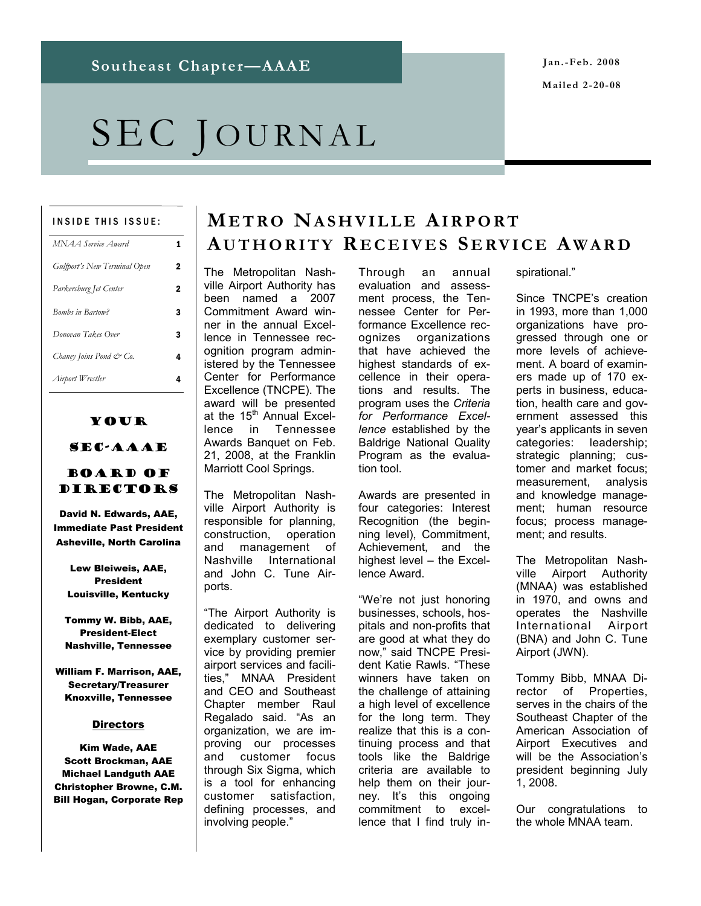# SEC JOURNAL

#### INSIDE THIS ISSUE:

| MNAA Service Award                  | 1 |
|-------------------------------------|---|
| <b>Gulfport's New Terminal Open</b> | 2 |
| Parkersburg Jet Center              | 2 |
| <b>Bombs in Bartow?</b>             | 3 |
| Donovan Takes Over                  | 3 |
| Chaney Joins Pond & Co.             | 4 |
| Airport Wrestler                    | 4 |

### Your SEC-AAAE

#### Board of DIRECTORS

David N. Edwards, AAE, Immediate Past President Asheville, North Carolina

Lew Bleiweis, AAE, President Louisville, Kentucky

Tommy W. Bibb, AAE, President-Elect Nashville, Tennessee

William F. Marrison, AAE, Secretary/Treasurer Knoxville, Tennessee

#### **Directors**

Kim Wade, AAE Scott Brockman, AAE Michael Landguth AAE Christopher Browne, C.M. Bill Hogan, Corporate Rep

### **METRO NASHVILLE AIRPORT AUTHORITY R ECEIVES S ERVICE A WARD**

The Metropolitan Nashville Airport Authority has been named a 2007 Commitment Award winner in the annual Excellence in Tennessee recognition program administered by the Tennessee Center for Performance Excellence (TNCPE). The award will be presented at the  $15<sup>th</sup>$  Annual Excellence in Tennessee Awards Banquet on Feb. 21, 2008, at the Franklin Marriott Cool Springs.

The Metropolitan Nashville Airport Authority is responsible for planning, construction, operation and management of Nashville International and John C. Tune Airports.

"The Airport Authority is dedicated to delivering exemplary customer service by providing premier airport services and facilities," MNAA President and CEO and Southeast Chapter member Raul Regalado said. "As an organization, we are improving our processes and customer focus through Six Sigma, which is a tool for enhancing customer satisfaction, defining processes, and involving people."

Through an annual evaluation and assessment process, the Tennessee Center for Performance Excellence recognizes organizations that have achieved the highest standards of excellence in their operations and results. The program uses the *Criteria for Performance Excellence* established by the Baldrige National Quality Program as the evaluation tool.

Awards are presented in four categories: Interest Recognition (the beginning level), Commitment, Achievement, and the highest level – the Excellence Award.

"We're not just honoring businesses, schools, hospitals and non-profits that are good at what they do now," said TNCPE President Katie Rawls. "These winners have taken on the challenge of attaining a high level of excellence for the long term. They realize that this is a continuing process and that tools like the Baldrige criteria are available to help them on their journey. It's this ongoing commitment to excellence that I find truly inspirational."

Since TNCPE's creation in 1993, more than 1,000 organizations have progressed through one or more levels of achievement. A board of examiners made up of 170 experts in business, education, health care and government assessed this year's applicants in seven categories: leadership; strategic planning; customer and market focus; measurement, analysis and knowledge management; human resource focus; process management; and results.

The Metropolitan Nashville Airport Authority (MNAA) was established in 1970, and owns and operates the Nashville International Airport (BNA) and John C. Tune Airport (JWN).

Tommy Bibb, MNAA Director of Properties, serves in the chairs of the Southeast Chapter of the American Association of Airport Executives and will be the Association's president beginning July 1, 2008.

Our congratulations to the whole MNAA team.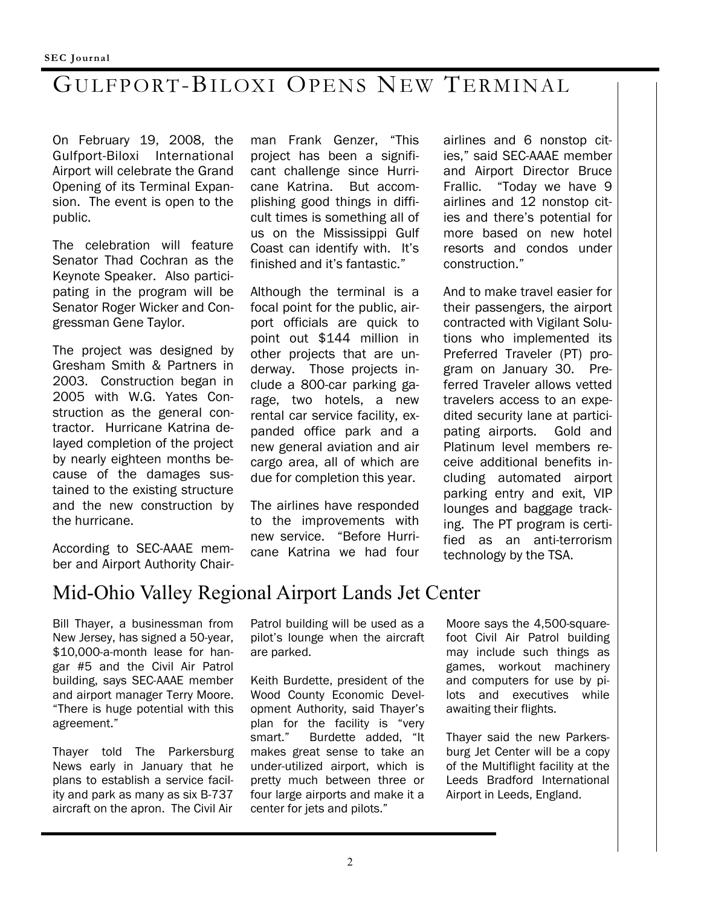# GULFPORT-BILOXI OPENS NEW TERMINAL

On February 19, 2008, the Gulfport-Biloxi International Airport will celebrate the Grand Opening of its Terminal Expansion. The event is open to the public.

The celebration will feature Senator Thad Cochran as the Keynote Speaker. Also participating in the program will be Senator Roger Wicker and Congressman Gene Taylor.

The project was designed by Gresham Smith & Partners in 2003. Construction began in 2005 with W.G. Yates Construction as the general contractor. Hurricane Katrina delayed completion of the project by nearly eighteen months because of the damages sustained to the existing structure and the new construction by the hurricane.

According to SEC-AAAE member and Airport Authority Chairman Frank Genzer, "This project has been a significant challenge since Hurricane Katrina. But accomplishing good things in difficult times is something all of us on the Mississippi Gulf Coast can identify with. It's finished and it's fantastic."

Although the terminal is a focal point for the public, airport officials are quick to point out \$144 million in other projects that are underway. Those projects include a 800-car parking garage, two hotels, a new rental car service facility, expanded office park and a new general aviation and air cargo area, all of which are due for completion this year.

The airlines have responded to the improvements with new service. "Before Hurricane Katrina we had four airlines and 6 nonstop cities," said SEC-AAAE member and Airport Director Bruce Frallic. "Today we have 9 airlines and 12 nonstop cities and there's potential for more based on new hotel resorts and condos under construction."

And to make travel easier for their passengers, the airport contracted with Vigilant Solutions who implemented its Preferred Traveler (PT) program on January 30. Preferred Traveler allows vetted travelers access to an expedited security lane at participating airports. Gold and Platinum level members receive additional benefits including automated airport parking entry and exit, VIP lounges and baggage tracking. The PT program is certified as an anti-terrorism technology by the TSA.

### Mid-Ohio Valley Regional Airport Lands Jet Center

Bill Thayer, a businessman from New Jersey, has signed a 50-year, \$10,000-a-month lease for hangar #5 and the Civil Air Patrol building, says SEC-AAAE member and airport manager Terry Moore. "There is huge potential with this agreement."

Thayer told The Parkersburg News early in January that he plans to establish a service facility and park as many as six B-737 aircraft on the apron. The Civil Air

Patrol building will be used as a pilot's lounge when the aircraft are parked.

Keith Burdette, president of the Wood County Economic Development Authority, said Thayer's plan for the facility is "very smart." Burdette added, "It makes great sense to take an under-utilized airport, which is pretty much between three or four large airports and make it a center for jets and pilots."

Moore says the 4,500-squarefoot Civil Air Patrol building may include such things as games, workout machinery and computers for use by pilots and executives while awaiting their flights.

Thayer said the new Parkersburg Jet Center will be a copy of the Multiflight facility at the Leeds Bradford International Airport in Leeds, England.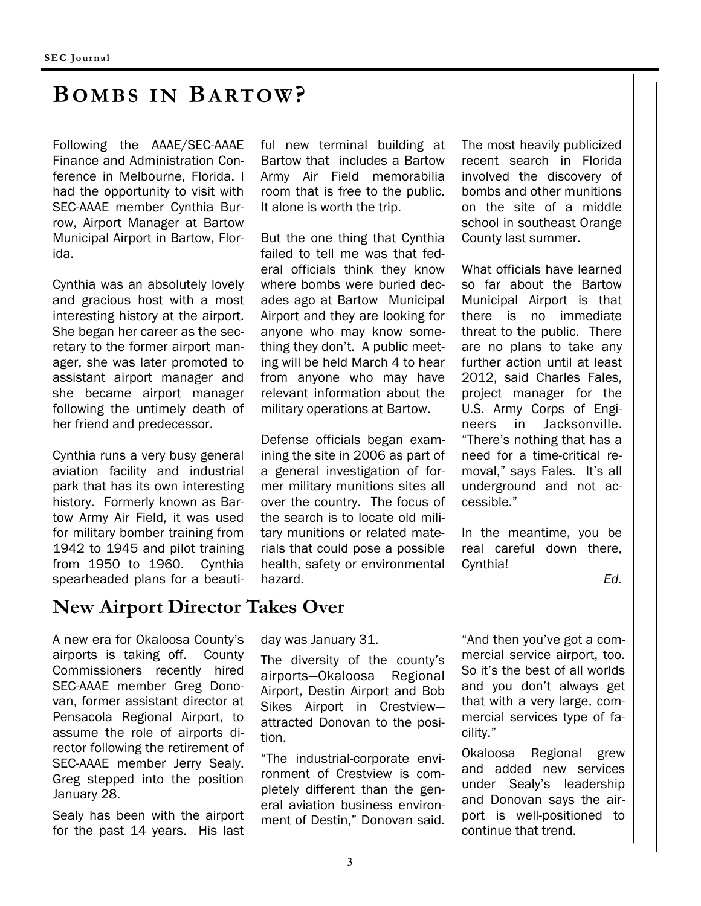### **BOMBS IN BARTOW?**

Following the AAAE/SEC-AAAE Finance and Administration Conference in Melbourne, Florida. I had the opportunity to visit with SEC-AAAE member Cynthia Burrow, Airport Manager at Bartow Municipal Airport in Bartow, Florida.

Cynthia was an absolutely lovely and gracious host with a most interesting history at the airport. She began her career as the secretary to the former airport manager, she was later promoted to assistant airport manager and she became airport manager following the untimely death of her friend and predecessor.

Cynthia runs a very busy general aviation facility and industrial park that has its own interesting history. Formerly known as Bartow Army Air Field, it was used for military bomber training from 1942 to 1945 and pilot training from 1950 to 1960. Cynthia spearheaded plans for a beauti-

### **New Airport Director Takes Over**

A new era for Okaloosa County's airports is taking off. County Commissioners recently hired SEC-AAAE member Greg Donovan, former assistant director at Pensacola Regional Airport, to assume the role of airports director following the retirement of SEC-AAAE member Jerry Sealy. Greg stepped into the position January 28.

Sealy has been with the airport for the past 14 years. His last ful new terminal building at Bartow that includes a Bartow Army Air Field memorabilia room that is free to the public. It alone is worth the trip.

But the one thing that Cynthia failed to tell me was that federal officials think they know where bombs were buried decades ago at Bartow Municipal Airport and they are looking for anyone who may know something they don't. A public meeting will be held March 4 to hear from anyone who may have relevant information about the military operations at Bartow.

Defense officials began examining the site in 2006 as part of a general investigation of former military munitions sites all over the country. The focus of the search is to locate old military munitions or related materials that could pose a possible health, safety or environmental hazard.

The most heavily publicized recent search in Florida involved the discovery of bombs and other munitions on the site of a middle school in southeast Orange County last summer.

What officials have learned so far about the Bartow Municipal Airport is that there is no immediate threat to the public. There are no plans to take any further action until at least 2012, said Charles Fales, project manager for the U.S. Army Corps of Engineers in Jacksonville. "There's nothing that has a need for a time-critical removal," says Fales. It's all underground and not accessible."

In the meantime, you be real careful down there, Cynthia!

*Ed.* 

day was January 31.

The diversity of the county's airports—Okaloosa Regional Airport, Destin Airport and Bob Sikes Airport in Crestview attracted Donovan to the position.

"The industrial-corporate environment of Crestview is completely different than the general aviation business environment of Destin," Donovan said.

"And then you've got a commercial service airport, too. So it's the best of all worlds and you don't always get that with a very large, commercial services type of facility."

Okaloosa Regional grew and added new services under Sealy's leadership and Donovan says the airport is well-positioned to continue that trend.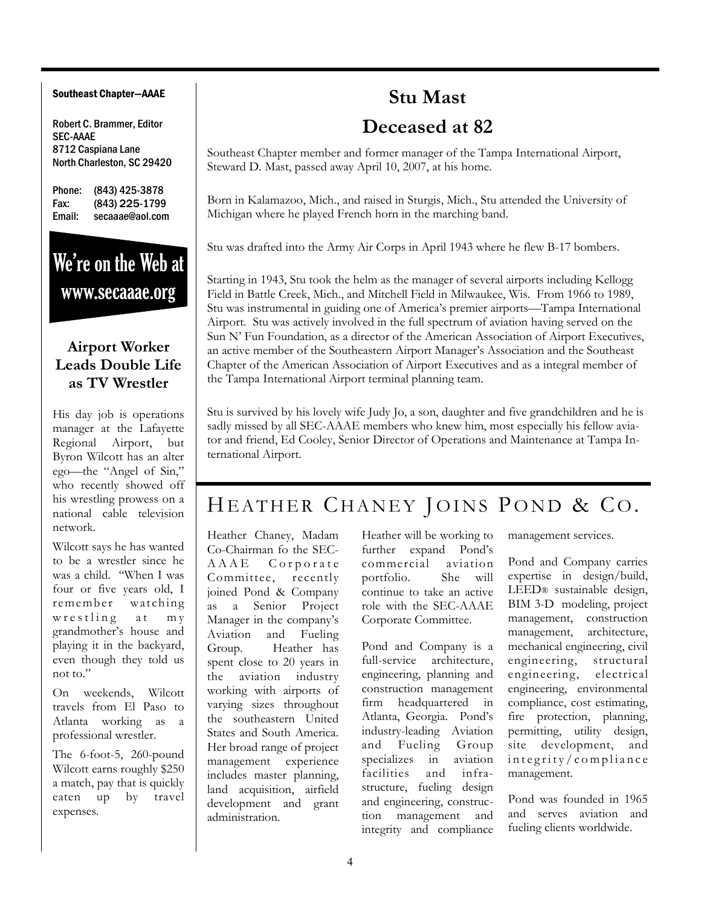#### Southeast Chapter—AAAE

Robert C. Brammer, Editor SEC-AAAE 8712 Caspiana Lane North Charleston, SC 29420

Phone: (843) 425-3878 Fax: (843) 225-1799 Email: secaaae@aol.com

# We're on the Web at www.secaaae.org

#### **Airport Worker Leads Double Life as TV Wrestler**

His day job is operations manager at the Lafayette Regional Airport, but Byron Wilcott has an alter ego—the "Angel of Sin," who recently showed off his wrestling prowess on a national cable television network.

Wilcott says he has wanted to be a wrestler since he was a child. "When I was four or five years old, I remember watching wrestling at my grandmother's house and playing it in the backyard, even though they told us not to."

On weekends, Wilcott travels from El Paso to Atlanta working as a professional wrestler.

The 6-foot-5, 260-pound Wilcott earns roughly \$250 a match, pay that is quickly eaten up by travel expenses.

# **Stu Mast**

### **Deceased at 82**

Southeast Chapter member and former manager of the Tampa International Airport, Steward D. Mast, passed away April 10, 2007, at his home.

Born in Kalamazoo, Mich., and raised in Sturgis, Mich., Stu attended the University of Michigan where he played French horn in the marching band.

Stu was drafted into the Army Air Corps in April 1943 where he flew B-17 bombers.

Starting in 1943, Stu took the helm as the manager of several airports including Kellogg Field in Battle Creek, Mich., and Mitchell Field in Milwaukee, Wis. From 1966 to 1989, Stu was instrumental in guiding one of America's premier airports—Tampa International Airport. Stu was actively involved in the full spectrum of aviation having served on the Sun N' Fun Foundation, as a director of the American Association of Airport Executives, an active member of the Southeastern Airport Manager's Association and the Southeast Chapter of the American Association of Airport Executives and as a integral member of the Tampa International Airport terminal planning team.

Stu is survived by his lovely wife Judy Jo, a son, daughter and five grandchildren and he is sadly missed by all SEC-AAAE members who knew him, most especially his fellow aviator and friend, Ed Cooley, Senior Director of Operations and Maintenance at Tampa International Airport.

### HEATHER CHANEY JOINS POND & CO.

Heather Chaney, Madam Co-Chairman fo the SEC-A A A E Corporate Committee, recently joined Pond & Company as a Senior Project Manager in the company's Aviation and Fueling Group. Heather has spent close to 20 years in the aviation industry working with airports of varying sizes throughout the southeastern United States and South America. Her broad range of project management experience includes master planning, land acquisition, airfield development and grant administration.

Heather will be working to further expand Pond's commercial aviation portfolio. She will continue to take an active role with the SEC-AAAE Corporate Committee.

Pond and Company is a full-service architecture, engineering, planning and construction management firm headquartered in Atlanta, Georgia. Pond's industry-leading Aviation and Fueling Group specializes in aviation facilities and infrastructure, fueling design and engineering, construction management and integrity and compliance management services.

Pond and Company carries expertise in design/build, LEED® sustainable design, BIM 3-D modeling, project management, construction management, architecture, mechanical engineering, civil engineering, structural engineering, electrical engineering, environmental compliance, cost estimating, fire protection, planning, permitting, utility design, site development, and  $int$ egrity/compliance management.

Pond was founded in 1965 and serves aviation and fueling clients worldwide.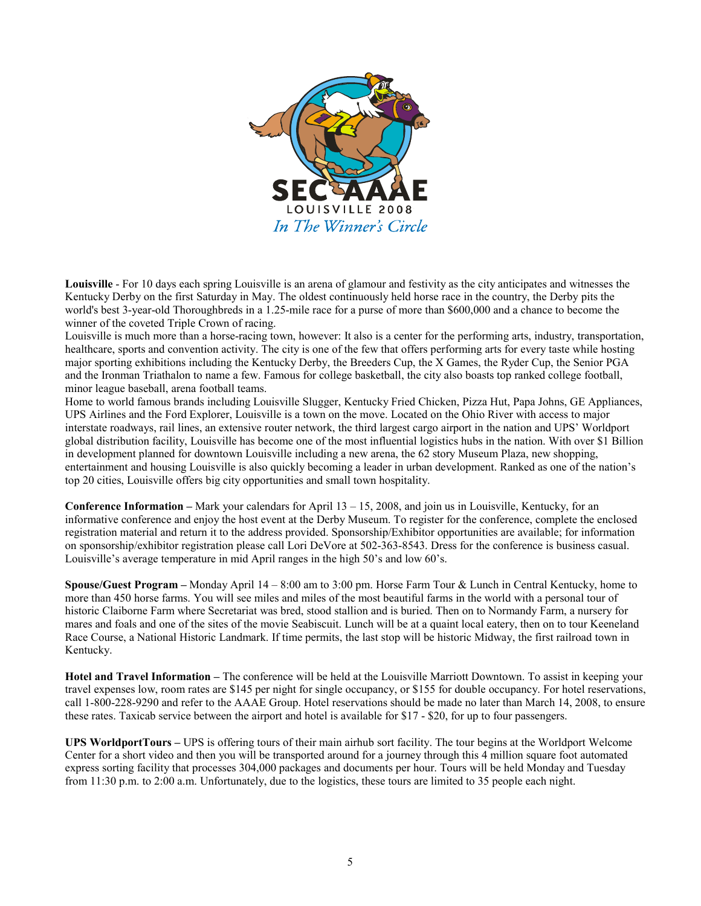

**Louisville** - For 10 days each spring Louisville is an arena of glamour and festivity as the city anticipates and witnesses the Kentucky Derby on the first Saturday in May. The oldest continuously held horse race in the country, the Derby pits the world's best 3-year-old Thoroughbreds in a 1.25-mile race for a purse of more than \$600,000 and a chance to become the winner of the coveted Triple Crown of racing.

Louisville is much more than a horse-racing town, however: It also is a center for the performing arts, industry, transportation, healthcare, sports and convention activity. The city is one of the few that offers performing arts for every taste while hosting major sporting exhibitions including the Kentucky Derby, the Breeders Cup, the X Games, the Ryder Cup, the Senior PGA and the Ironman Triathalon to name a few. Famous for college basketball, the city also boasts top ranked college football, minor league baseball, arena football teams.

Home to world famous brands including Louisville Slugger, Kentucky Fried Chicken, Pizza Hut, Papa Johns, GE Appliances, UPS Airlines and the Ford Explorer, Louisville is a town on the move. Located on the Ohio River with access to major interstate roadways, rail lines, an extensive router network, the third largest cargo airport in the nation and UPS' Worldport global distribution facility, Louisville has become one of the most influential logistics hubs in the nation. With over \$1 Billion in development planned for downtown Louisville including a new arena, the 62 story Museum Plaza, new shopping, entertainment and housing Louisville is also quickly becoming a leader in urban development. Ranked as one of the nation's top 20 cities, Louisville offers big city opportunities and small town hospitality.

**Conference Information –** Mark your calendars for April 13 – 15, 2008, and join us in Louisville, Kentucky, for an informative conference and enjoy the host event at the Derby Museum. To register for the conference, complete the enclosed registration material and return it to the address provided. Sponsorship/Exhibitor opportunities are available; for information on sponsorship/exhibitor registration please call Lori DeVore at 502-363-8543. Dress for the conference is business casual. Louisville's average temperature in mid April ranges in the high 50's and low 60's.

**Spouse/Guest Program –** Monday April 14 – 8:00 am to 3:00 pm. Horse Farm Tour & Lunch in Central Kentucky, home to more than 450 horse farms. You will see miles and miles of the most beautiful farms in the world with a personal tour of historic Claiborne Farm where Secretariat was bred, stood stallion and is buried. Then on to Normandy Farm, a nursery for mares and foals and one of the sites of the movie Seabiscuit. Lunch will be at a quaint local eatery, then on to tour Keeneland Race Course, a National Historic Landmark. If time permits, the last stop will be historic Midway, the first railroad town in Kentucky.

**Hotel and Travel Information –** The conference will be held at the Louisville Marriott Downtown. To assist in keeping your travel expenses low, room rates are \$145 per night for single occupancy, or \$155 for double occupancy. For hotel reservations, call 1-800-228-9290 and refer to the AAAE Group. Hotel reservations should be made no later than March 14, 2008, to ensure these rates. Taxicab service between the airport and hotel is available for \$17 - \$20, for up to four passengers.

**UPS WorldportTours –** UPS is offering tours of their main airhub sort facility. The tour begins at the Worldport Welcome Center for a short video and then you will be transported around for a journey through this 4 million square foot automated express sorting facility that processes 304,000 packages and documents per hour. Tours will be held Monday and Tuesday from 11:30 p.m. to 2:00 a.m. Unfortunately, due to the logistics, these tours are limited to 35 people each night.